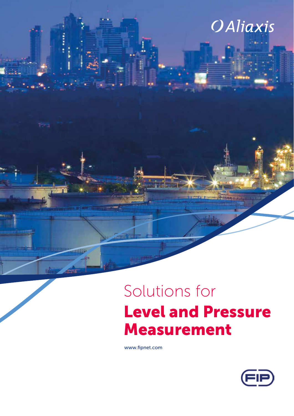# **OAliaxis**

# Solutions for Level and Pressure Measurement

www.fipnet.com

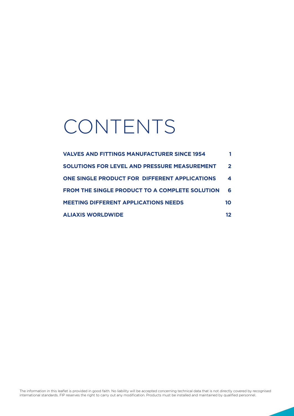# CONTENTS

| <b>VALVES AND FITTINGS MANUFACTURER SINCE 1954</b>    |              |
|-------------------------------------------------------|--------------|
| <b>SOLUTIONS FOR LEVEL AND PRESSURE MEASUREMENT</b>   | $\mathbf{2}$ |
| <b>ONE SINGLE PRODUCT FOR DIFFERENT APPLICATIONS</b>  | 4            |
| <b>FROM THE SINGLE PRODUCT TO A COMPLETE SOLUTION</b> | 6            |
| <b>MEETING DIFFERENT APPLICATIONS NEEDS</b>           | 1Ο           |
| <b>ALIAXIS WORLDWIDE</b>                              | 12           |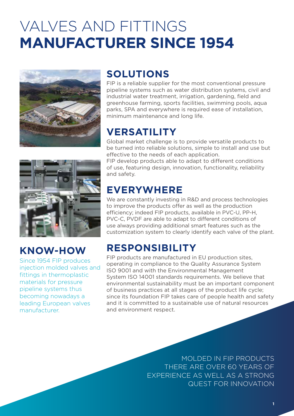# VALVES AND FITTINGS **MANUFACTURER SINCE 1954**



## **SOLUTIONS**

FIP is a reliable supplier for the most conventional pressure pipeline systems such as water distribution systems, civil and industrial water treatment, irrigation, gardening, field and greenhouse farming, sports facilities, swimming pools, aqua parks, SPA and everywhere is required ease of installation, minimum maintenance and long life.

## **VERSATILITY**

Global market challenge is to provide versatile products to be turned into reliable solutions, simple to install and use but effective to the needs of each application.

FIP develop products able to adapt to different conditions of use, featuring design, innovation, functionality, reliability and safety.

### **EVERYWHERE**

We are constantly investing in R&D and process technologies to improve the products offer as well as the production efficiency; indeed FIP products, available in PVC-U, PP-H, PVC-C, PVDF are able to adapt to different conditions of use always providing additional smart features such as the customization system to clearly identify each valve of the plant.

## **RESPONSIBILITY**

FIP products are manufactured in EU production sites, operating in compliance to the Quality Assurance System ISO 9001 and with the Environmental Management System ISO 14001 standards requirements. We believe that environmental sustainability must be an important component of business practices at all stages of the product life cycle; since its foundation FIP takes care of people health and safety and it is committed to a sustainable use of natural resources and environment respect.

> MOLDED IN FIP PRODUCTS THERE ARE OVER 60 YEARS OF EXPERIENCE AS WELL AS A STRONG QUEST FOR INNOVATION



## **KNOW-HOW**

Since 1954 FIP produces injection molded valves and fittings in thermoplastic materials for pressure pipeline systems thus becoming nowadays a leading European valves manufacturer.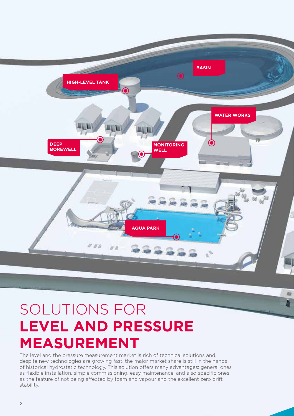

## SOLUTIONS FOR **LEVEL AND PRESSURE MEASUREMENT**

The level and the pressure measurement market is rich of technical solutions and, despite new technologies are growing fast, the major market share is still in the hands of historical hydrostatic technology. This solution offers many advantages: general ones as flexible installation, simple commissioning, easy maintenance, and also specific ones as the feature of not being affected by foam and vapour and the excellent zero drift stability.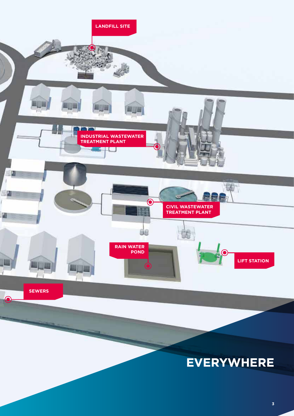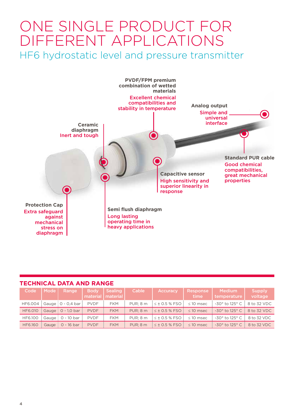## ONE SINGLE PRODUCT FOR DIFFERENT APPLICATIONS HF6 hydrostatic level and pressure transmitter



#### **TECHNICAL DATA AND RANGE**

| Code           | <b>Mode</b> | Range             | <b>Body</b><br>material | <b>Sealing</b><br>material | 'Cable <sub>i</sub> | <b>Accuracy</b>      | Response<br>time | <b>Medium</b><br>temperature       | <b>Supply</b><br>voltage |
|----------------|-------------|-------------------|-------------------------|----------------------------|---------------------|----------------------|------------------|------------------------------------|--------------------------|
| HF6.004        | Gauge       | 0 - 0.4 bar       | <b>PVDF</b>             | <b>FKM</b>                 | PUR: 8 m            | $\leq$ ± 0.5 % FSO   | $\leq$ 10 msec   | -30 $^{\circ}$ to 125 $^{\circ}$ C | 8 to 32 VDC              |
| <b>HF6.010</b> | Gauge       | $\circ$ - 1.0 bar | <b>PVDF</b>             | <b>FKM</b>                 | PUR: 8 m            | $\leq$ ± 0.5 % FSO   | $\leq$ 10 msec   | $-30^\circ$ to 125 $^\circ$ C      | 8 to 32 VDC              |
| <b>HF6.100</b> | Gauge       | 0 - 10 bar        | <b>PVDF</b>             | <b>FKM</b>                 | PUR: 8 m            | $\leq \pm 0.5$ % FSO | $\leq$ 10 msec   | -30 $^{\circ}$ to 125 $^{\circ}$ C | 8 to 32 VDC              |
| <b>HF6.160</b> | Gauge       | $0 - 16$ bar      | <b>PVDF</b>             | <b>FKM</b>                 | <b>PUR: 8 m</b>     | $\leq$ ± 0.5 % FSO   | $\leq$ 10 msec   | $-30^\circ$ to 125 $^\circ$ C      | 8 to 32 VDC              |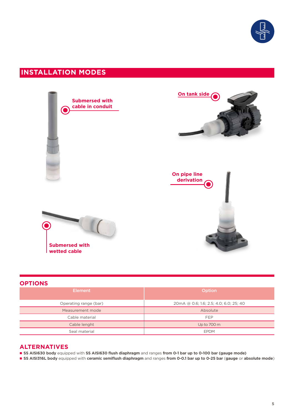

### **INSTALLATION MODES**



#### **OPTIONS**

| <b>Element</b>        | Option                                  |  |  |  |  |
|-----------------------|-----------------------------------------|--|--|--|--|
| Operating range (bar) | 20 mA @ 0.6; 1.6; 2.5; 4.0; 6.0; 25; 40 |  |  |  |  |
| Measurement mode      | Absolute                                |  |  |  |  |
| Cable material        | <b>FEP</b>                              |  |  |  |  |
| Cable lenght          | Up to 700 m                             |  |  |  |  |
| Seal material         | <b>EPDM</b>                             |  |  |  |  |

#### **ALTERNATIVES**

n **SS AISI630 body** equipped with **SS AISI630 flush diaphragm** and ranges **from 0-1 bar up to 0-100 bar (gauge mode)**

n **SS AISI316L body** equipped with **ceramic semiflush diaphragm** and ranges **from 0-0.1 bar up to 0-25 bar** (**gauge** or **absolute mode**)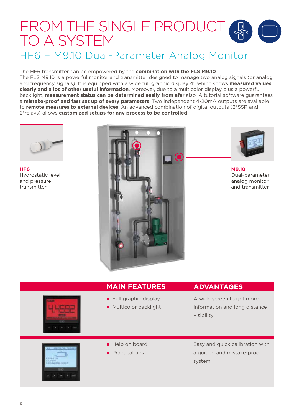## FROM THE SINGLE PRODUCT TO A SYSTEM HF6 + M9.10 Dual-Parameter Analog Monitor

#### The HF6 transmitter can be empowered by the **combination with the FLS M9.10**.

The FLS M9.10 is a powerful monitor and transmitter designed to manage two analog signals (or analog and frequency signals). It is equipped with a wide full graphic display 4" which shows **measured values clearly and a lot of other useful information**. Moreover, due to a multicolor display plus a powerful backlight, **measurement status can be determined easily from afar** also. A tutorial software guarantees a **mistake-proof and fast set up of every parameters**. Two independent 4-20mA outputs are available to **remote measures to external devices**. An advanced combination of digital outputs (2\*SSR and 2\*relays) allows **customized setups for any process to be controlled**.



**HF6** Hydrostatic level and pressure transmitter





**M9.10** Dual-parameter analog monitor and transmitter



#### **MAIN FEATURES**

A wide screen to get more

**ADVANTAGES**

- information and long distance visibility
- Easy and quick calibration with a guided and mistake-proof system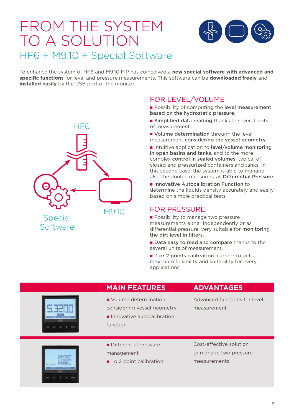## FROM THE SYSTEM TO A SOLUTION HF6 + M9.10 + Special Software



To enhance the system of HF6 and M9.10 FIP has coinceived a **new special software with advanced and specific functions** for level and pressure measurements. This software can be **downloaded freely** and **installed easily** by the USB port of the monitor.



### FOR LEVEL/VOLUME

- **Possibility of computing the level measurement** based on the hydrostatic pressure.
- **Examplified data reading thanks to several units** of measurement.
- **Nolume determination** through the level measurement considering the vessel geometry.
- n Intuitive application to level/volume monitoring in open basins and tanks, and to the more complex control in sealed volumes, typical of closed and pressurized containers and tanks. In this second case, the system is able to manage also the double measuring as Differential Pressure.
- **n** Innovative Autocalibration Function to determine the liquids density accurately and easily based on simple practical tests.

### FOR PRESSURE

- **Possibility to manage two pressure** measurements either independently or as differential pressure, very suitable for monitoring the dirt level in filters.
- Data easy to read and compare thanks to the several units of measurement.
- 1 or 2 points calibration in order to get maximum flexibility and suitability for every applications.



#### **MAIN FEATURES**

- Volume determination
- considering vessel geometry
- **n** Innovative autocalibration function
- **ADVANTAGES**
- Advanced functions for level measurement



- Differential pressure management
- 1 o 2 point calibration

Cost-effective solution to manage two pressure measurements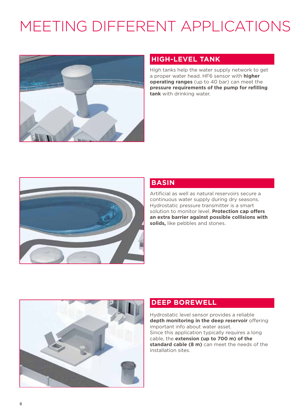# MEETING DIFFERENT APPLICATIONS



#### **HIGH-LEVEL TANK**

High tanks help the water supply network to get a proper water head. HF6 sensor with **higher operating ranges** (up to 40 bar) can meet the **pressure requirements of the pump for refilling tank** with drinking water.



#### **BASIN**

Artificial as well as natural reservoirs secure a continuous water supply during dry seasons. Hydrostatic pressure transmitter is a smart solution to monitor level. **Protection cap offers an extra barrier against possible collisions with solids,** like pebbles and stones.



#### **DEEP BOREWELL**

Hydrostatic level sensor provides a reliable **depth monitoring in the deep reservoir** offering important info about water asset. Since this application typically requires a long cable, the **extension (up to 700 m) of the standard cable (8 m)** can meet the needs of the installation sites.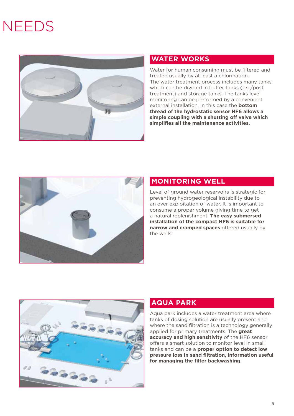# NEEDS



### **WATER WORKS**

Water for human consuming must be filtered and treated usually by at least a chlorination. The water treatment process includes many tanks which can be divided in buffer tanks (pre/post treatment) and storage tanks. The tanks level monitoring can be performed by a convenient external installation. In this case the **bottom thread of the hydrostatic sensor HF6 allows a simple coupling with a shutting off valve which simplifies all the maintenance activities.**



#### **MONITORING WELL**

Level of ground water reservoirs is strategic for preventing hydrogeological instability due to an over exploitation of water. It is important to consume a proper volume giving time to get a natural replenishment. **The easy submersed installation of the compact HF6 is suitable for narrow and cramped spaces** offered usually by the wells.



### **AQUA PARK**

Aqua park includes a water treatment area where tanks of dosing solution are usually present and where the sand filtration is a technology generally applied for primary treatments. The **great accuracy and high sensitivity** of the HF6 sensor offers a smart solution to monitor level in small tanks and can be a **proper option to detect low pressure loss in sand filtration, information useful for managing the filter backwashing**.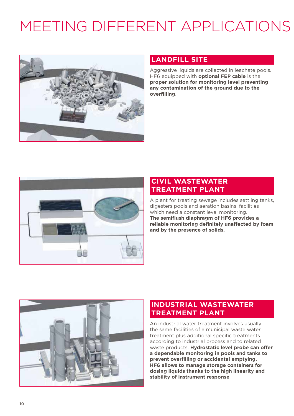# MEETING DIFFERENT APPLICATIONS



#### **LANDFILL SITE**

Aggressive liquids are collected in leachate pools. HF6 equipped with **optional FEP cable** is the **proper solution for monitoring level preventing any contamination of the ground due to the overfilling**.



#### **CIVIL WASTEWATER TREATMENT PLANT**

A plant for treating sewage includes settling tanks, digesters pools and aeration basins: facilities which need a constant level monitoring. **The semiflush diaphragm of HF6 provides a reliable monitoring definitely unaffected by foam and by the presence of solids.**



### **INDUSTRIAL WASTEWATER TREATMENT PLANT**

An industrial water treatment involves usually the same facilities of a municipal waste water treatment plus additional specific treatments according to industrial process and to related waste products. **Hydrostatic level probe can offer a dependable monitoring in pools and tanks to prevent overfilling or accidental emptying. HF6 allows to manage storage containers for dosing liquids thanks to the high linearity and stability of instrument response**.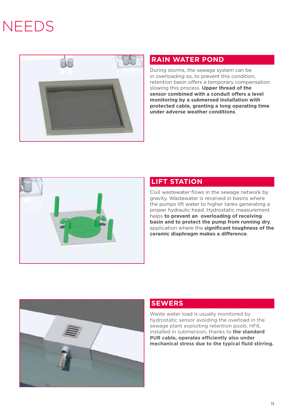# **NEEDS**



### **RAIN WATER POND**

During storms, the sewage system can be in overloading so, to prevent this condition, retention basin offers a temporary compensation slowing this process. **Upper thread of the sensor combined with a conduit offers a level monitoring by a submersed installation with protected cable, granting a long operating time under adverse weather conditions**.



### **LIFT STATION**

Civil wastewater flows in the sewage network by gravity. Wastewater is received in basins where the pumps lift water to higher tanks generating a proper hydraulic head. Hydrostatic measurement helps **to prevent an overloading of receiving basin and to protect the pump from running dry**, application where the **significant toughness of the ceramic diaphragm makes a difference**.



### **SEWERS**

Waste water load is usually monitored by hydrostatic sensor avoiding the overload in the sewage plant exploiting retention pools. HF6, installed in submersion, thanks to **the standard PUR cable, operates efficiently also under mechanical stress due to the typical fluid stirring.**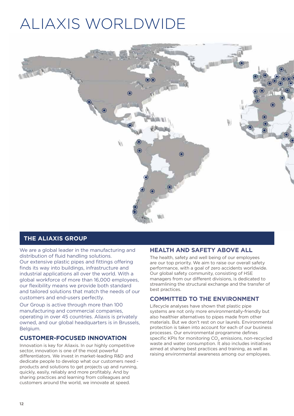## ALIAXIS WORLDWIDE



#### **THE ALIAXIS GROUP**

We are a global leader in the manufacturing and distribution of fluid handling solutions. Our extensive plastic pipes and fittings offering finds its way into buildings, infrastructure and industrial applications all over the world. With a global workforce of more than 16,000 employees, our flexibility means we provide both standard and tailored solutions that match the needs of our customers and end-users perfectly.

Our Group is active through more than 100 manufacturing and commercial companies, operating in over 45 countries. Aliaxis is privately owned, and our global headquarters is in Brussels, Belgium.

#### **CUSTOMER-FOCUSED INNOVATION**

Innovation is key for Aliaxis. In our highly competitive sector, innovation is one of the most powerful differentiators. We invest in market-leading R&D and dedicate people to develop what our customers need products and solutions to get projects up and running, quickly, easily, reliably and more profitably. And by sharing practices and learning from colleagues and customers around the world, we innovate at speed.

#### **HEALTH AND SAFETY ABOVE ALL**

The health, safety and well being of our employees are our top priority. We aim to raise our overall safety performance, with a goal of zero accidents worldwide. Our global safety community, consisting of HSE managers from our different divisions, is dedicated to streamlining the structural exchange and the transfer of best practices.

#### **COMMITTED TO THE ENVIRONMENT**

Lifecycle analyses have shown that plastic pipe systems are not only more environmentally-friendly but also healthier alternatives to pipes made from other materials. But we don't rest on our laurels. Environmental protection is taken into account for each of our business processes. Our environmental programme defines specific KPIs for monitoring CO<sub>2</sub> emissions, non-recycled waste and water consumption. It also includes initiatives aimed at sharing best practices and training, as well as raising environmental awareness among our employees.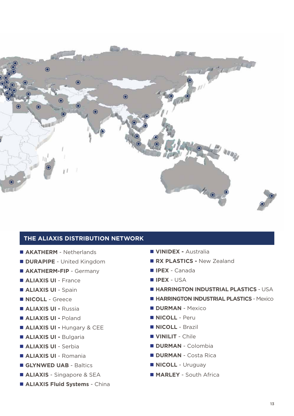

#### **THE ALIAXIS DISTRIBUTION NETWORK**

- **E AKATHERM** Netherlands
- **n DURAPIPE** United Kingdom
- **E AKATHERM-FIP** Germany
- $\blacksquare$  **ALIAXIS UI** France
- **E ALIAXIS UI Spain**
- **NICOLL** Greece
- n **ALIAXIS UI** Russia
- **E ALIAXIS UI Poland**
- $\blacksquare$  **ALIAXIS UI Hungary & CEE**
- n **ALIAXIS UI** Bulgaria
- **n ALIAXIS UI** Serbia
- n **ALIAXIS UI** Romania
- **n GLYNWED UAB** Baltics
- **E ALIAXIS** Singapore & SEA
- **E ALIAXIS Fluid Systems China**
- n **VINIDEX** Australia
- **RX PLASTICS New Zealand**
- n **IPEX** Canada
- n **IPEX**  USA
- $H$  **HARRINGTON INDUSTRIAL PLASTICS USA**
- **E HARRINGTON INDUSTRIAL PLASTICS Mexico**
- **DURMAN** Mexico
- n **NICOLL** Peru
- **NICOLL** Brazil
- **N VINILIT** Chile
- n **DURMAN**  Colombia
- **n DURMAN** Costa Rica
- **NICOLL** Uruguay
- $MARLEY South Africa$